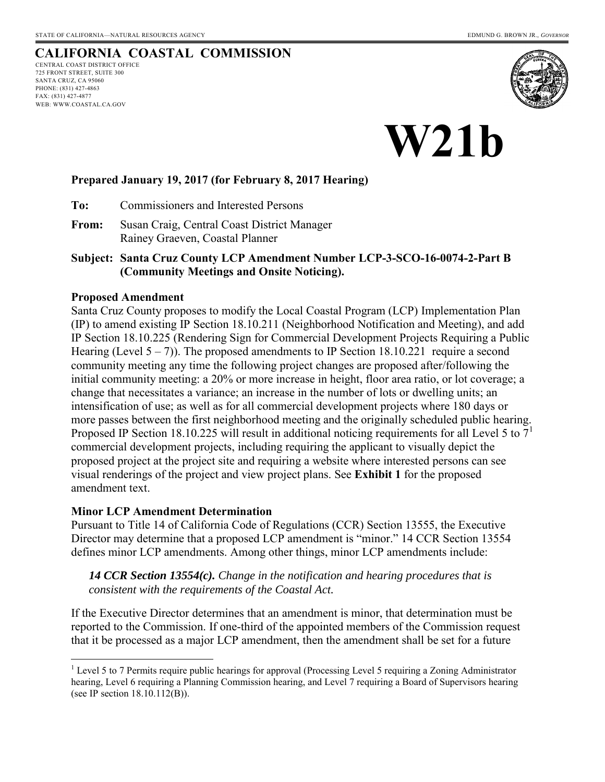# **CALIFORNIA COASTAL COMMISSION**

CENTRAL COAST DISTRICT OFFICE 725 FRONT STREET, SUITE 300 SANTA CRUZ, CA 95060 PHONE: (831) 427-4863 FAX: (831) 427-4877 WEB: WWW.COASTAL.CA.GOV



**W21b** 

### **Prepared January 19, 2017 (for February 8, 2017 Hearing)**

**To:** Commissioners and Interested Persons

**From:** Susan Craig, Central Coast District Manager Rainey Graeven, Coastal Planner

**Subject: Santa Cruz County LCP Amendment Number LCP-3-SCO-16-0074-2-Part B (Community Meetings and Onsite Noticing).**

#### **Proposed Amendment**

Santa Cruz County proposes to modify the Local Coastal Program (LCP) Implementation Plan (IP) to amend existing IP Section 18.10.211 (Neighborhood Notification and Meeting), and add IP Section 18.10.225 (Rendering Sign for Commercial Development Projects Requiring a Public Hearing (Level  $5 - 7$ )). The proposed amendments to IP Section 18.10.221 require a second community meeting any time the following project changes are proposed after/following the initial community meeting: a 20% or more increase in height, floor area ratio, or lot coverage; a change that necessitates a variance; an increase in the number of lots or dwelling units; an intensification of use; as well as for all commercial development projects where 180 days or more passes between the first neighborhood meeting and the originally scheduled public hearing. Proposed IP Section 18.10.225 will result in additional noticing requirements for all Level 5 to  $7<sup>1</sup>$ commercial development projects, including requiring the applicant to visually depict the proposed project at the project site and requiring a website where interested persons can see visual renderings of the project and view project plans. See **Exhibit 1** for the proposed amendment text.

#### **Minor LCP Amendment Determination**

Pursuant to Title 14 of California Code of Regulations (CCR) Section 13555, the Executive Director may determine that a proposed LCP amendment is "minor." 14 CCR Section 13554 defines minor LCP amendments. Among other things, minor LCP amendments include:

*14 CCR Section 13554(c). Change in the notification and hearing procedures that is consistent with the requirements of the Coastal Act.*

If the Executive Director determines that an amendment is minor, that determination must be reported to the Commission. If one-third of the appointed members of the Commission request that it be processed as a major LCP amendment, then the amendment shall be set for a future

 1 Level 5 to 7 Permits require public hearings for approval (Processing Level 5 requiring a Zoning Administrator hearing, Level 6 requiring a Planning Commission hearing, and Level 7 requiring a Board of Supervisors hearing (see IP section 18.10.112(B)).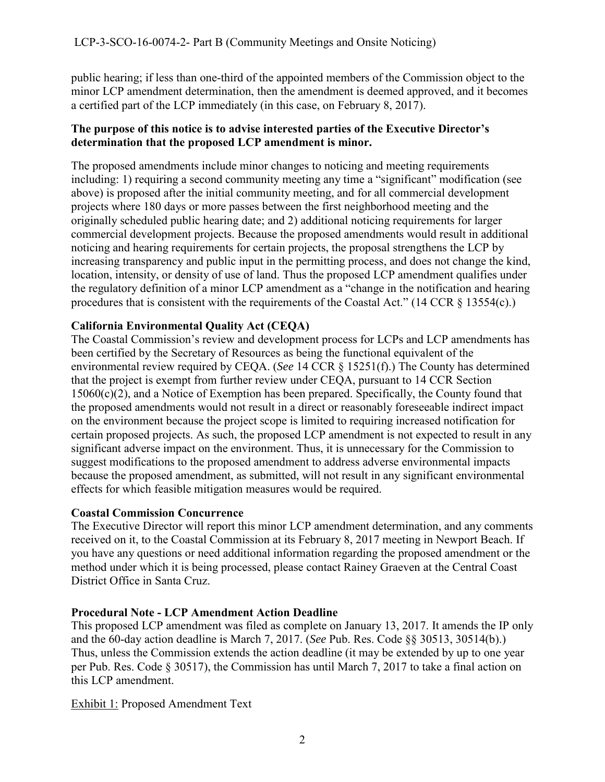public hearing; if less than one-third of the appointed members of the Commission object to the minor LCP amendment determination, then the amendment is deemed approved, and it becomes a certified part of the LCP immediately (in this case, on February 8, 2017).

# **The purpose of this notice is to advise interested parties of the Executive Director's determination that the proposed LCP amendment is minor.**

The proposed amendments include minor changes to noticing and meeting requirements including: 1) requiring a second community meeting any time a "significant" modification (see above) is proposed after the initial community meeting, and for all commercial development projects where 180 days or more passes between the first neighborhood meeting and the originally scheduled public hearing date; and 2) additional noticing requirements for larger commercial development projects. Because the proposed amendments would result in additional noticing and hearing requirements for certain projects, the proposal strengthens the LCP by increasing transparency and public input in the permitting process, and does not change the kind, location, intensity, or density of use of land. Thus the proposed LCP amendment qualifies under the regulatory definition of a minor LCP amendment as a "change in the notification and hearing procedures that is consistent with the requirements of the Coastal Act." (14 CCR § 13554(c).)

# **California Environmental Quality Act (CEQA)**

The Coastal Commission's review and development process for LCPs and LCP amendments has been certified by the Secretary of Resources as being the functional equivalent of the environmental review required by CEQA. (*See* 14 CCR § 15251(f).) The County has determined that the project is exempt from further review under CEQA, pursuant to 14 CCR Section 15060(c)(2), and a Notice of Exemption has been prepared. Specifically, the County found that the proposed amendments would not result in a direct or reasonably foreseeable indirect impact on the environment because the project scope is limited to requiring increased notification for certain proposed projects. As such, the proposed LCP amendment is not expected to result in any significant adverse impact on the environment. Thus, it is unnecessary for the Commission to suggest modifications to the proposed amendment to address adverse environmental impacts because the proposed amendment, as submitted, will not result in any significant environmental effects for which feasible mitigation measures would be required.

# **Coastal Commission Concurrence**

The Executive Director will report this minor LCP amendment determination, and any comments received on it, to the Coastal Commission at its February 8, 2017 meeting in Newport Beach. If you have any questions or need additional information regarding the proposed amendment or the method under which it is being processed, please contact Rainey Graeven at the Central Coast District Office in Santa Cruz.

# **Procedural Note - LCP Amendment Action Deadline**

This proposed LCP amendment was filed as complete on January 13, 2017. It amends the IP only and the 60-day action deadline is March 7, 2017. (*See* Pub. Res. Code §§ 30513, 30514(b).) Thus, unless the Commission extends the action deadline (it may be extended by up to one year per Pub. Res. Code § 30517), the Commission has until March 7, 2017 to take a final action on this LCP amendment.

# Exhibit 1: Proposed Amendment Text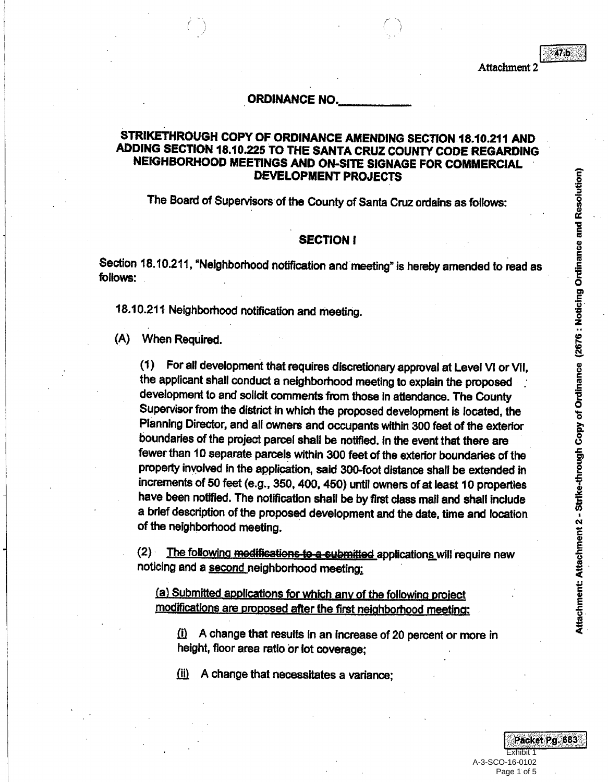$47<sub>b</sub>$ 

#### **ORDINANCE NO.**

### STRIKETHROUGH COPY OF ORDINANCE AMENDING SECTION 18.10.211 AND ADDING SECTION 18.10.225 TO THE SANTA CRUZ COUNTY CODE REGARDING NEIGHBORHOOD MEETINGS AND ON-SITE SIGNAGE FOR COMMERCIAL DEVELOPMENT PROJECTS

The Board of Supervisors of the County of Santa Cruz ordains as follows:

#### **SECTION I**

Section 18.10.211, "Neighborhood notification and meeting" is hereby amended to read as follows:

18.10.211 Neighborhood notification and meeting.

(A) When Required.

(1) For all development that requires discretionary approval at Level VI or Vil, the applicant shall conduct a neighborhood meeting to explain the proposed development to and solicit comments from those in attendance. The County Supervisor from the district in which the proposed development is located, the Planning Director, and all owners and occupants within 300 feet of the exterior boundaries of the project parcel shall be notified. In the event that there are fewer than 10 separate parcels within 300 feet of the exterior boundaries of the property involved in the application, said 300-foot distance shall be extended in increments of 50 feet (e.g., 350, 400, 450) until owners of at least 10 properties have been notified. The notification shall be by first class mail and shall include a brief description of the proposed development and the date, time and location of the neighborhood meeting.

(2) The following modifications to a submitted applications will require new noticing and a second neighborhood meeting:

(a) Submitted applications for which any of the following project modifications are proposed after the first neighborhood meeting:

A change that results in an increase of 20 percent or more in  $\Omega$ height, floor area ratio or lot coverage;

 $(ii)$ A change that necessitates a variance:

Packet Pg. 683 **Fxhibit 1** A-3-SCO-16-0102

Page 1 of 5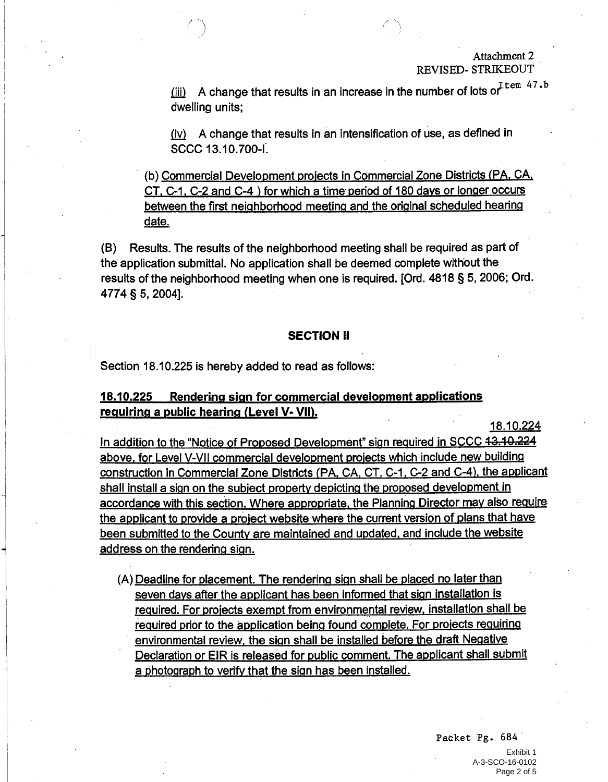#### Attachment 2 **REVISED- STRIKEOUT**

 $\frac{1}{2}$  A change that results in an increase in the number of lots or  $\text{Term } 47.5$ dwelling units;

(iv) A change that results in an intensification of use, as defined in SCCC 13.10.700-I.

(b) Commercial Development projects in Commercial Zone Districts (PA, CA, CT, C-1, C-2 and C-4) for which a time period of 180 days or longer occurs between the first neighborhood meeting and the original scheduled hearing date.

Results. The results of the neighborhood meeting shall be required as part of (B) the application submittal. No application shall be deemed complete without the results of the neighborhood meeting when one is required. [Ord. 4818 § 5, 2006; Ord. 4774 § 5, 2004].

#### **SECTION II**

Section 18.10.225 is hereby added to read as follows:

#### Rendering sign for commercial development applications 18.10.225 requiring a public hearing (Level V- VII).

18.10.224

In addition to the "Notice of Proposed Development" sign required in SCCC 43.40.224 above, for Level V-VII commercial development projects which include new building construction in Commercial Zone Districts (PA, CA, CT, C-1, C-2 and C-4), the applicant shall install a sign on the subject property depicting the proposed development in accordance with this section. Where appropriate, the Planning Director may also require the applicant to provide a project website where the current version of plans that have been submitted to the County are maintained and updated, and include the website address on the rendering sign.

(A) Deadline for placement. The rendering sign shall be placed no later than seven days after the applicant has been informed that sign installation is required. For projects exempt from environmental review, installation shall be required prior to the application being found complete. For projects requiring environmental review, the sign shall be installed before the draft Negative Declaration or EIR is released for public comment. The applicant shall submit a photograph to verify that the sign has been installed.

> Packet Pg. 684 Fxhibit 1 A-3-SCO-16-0102 Page 2 of 5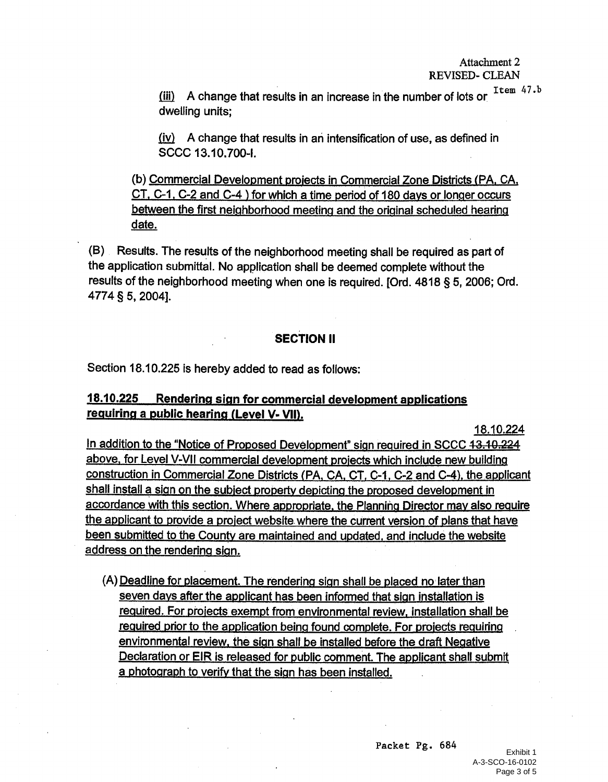$(iii)$  A change that results in an increase in the number of lots or  $\frac{Item\ 47.b}{}$ dwelling units:

 $(iv)$  A change that results in an intensification of use, as defined in SCCC 13.10.700-I.

(b) Commercial Development projects in Commercial Zone Districts (PA, CA, CT, C-1, C-2 and C-4) for which a time period of 180 days or longer occurs between the first neighborhood meeting and the original scheduled hearing date.

(B) Results. The results of the neighborhood meeting shall be required as part of the application submittal. No application shall be deemed complete without the results of the neighborhood meeting when one is required. [Ord. 4818 § 5, 2006; Ord. 4774 § 5, 2004].

# **SECTION II**

Section 18.10.225 is hereby added to read as follows:

#### 18.10.225 Rendering sign for commercial development applications requiring a public hearing (Level V- VII).

18.10.224

In addition to the "Notice of Proposed Development" sign required in SCCC 13.10.224 above, for Level V-VII commercial development projects which include new building construction in Commercial Zone Districts (PA, CA, CT, C-1, C-2 and C-4), the applicant shall install a sign on the subject property depicting the proposed development in accordance with this section. Where appropriate, the Planning Director may also require the applicant to provide a project website where the current version of plans that have been submitted to the County are maintained and updated, and include the website address on the rendering sign.

(A) Deadline for placement. The rendering sign shall be placed no later than seven days after the applicant has been informed that sign installation is required. For projects exempt from environmental review, installation shall be required prior to the application being found complete. For projects requiring environmental review, the sign shall be installed before the draft Negative Declaration or EIR is released for public comment. The applicant shall submit a photograph to verify that the sign has been installed.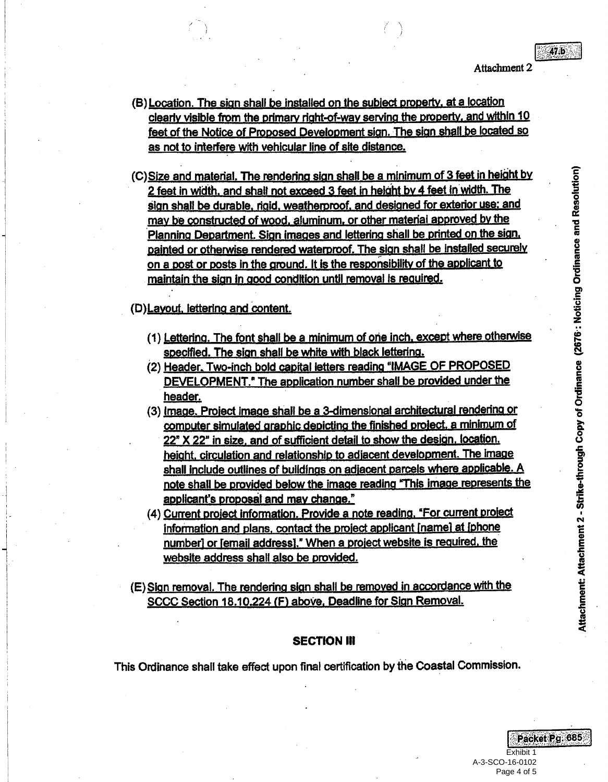Attachment 2

- (B) Location. The sign shall be installed on the subject property, at a location clearly visible from the primary right-of-way serving the property, and within 10 feet of the Notice of Proposed Development sign. The sign shall be located so as not to interfere with vehicular line of site distance.
- (C) Size and material. The rendering sign shall be a minimum of 3 feet in height by 2 feet in width, and shall not exceed 3 feet in height by 4 feet in width. The sign shall be durable, rigid, weatherproof, and designed for exterior use; and may be constructed of wood, aluminum, or other material approved by the Planning Department. Sign images and lettering shall be printed on the sign. painted or otherwise rendered waterproof. The sign shall be installed securely on a post or posts in the ground. It is the responsibility of the applicant to maintain the sign in good condition until removal is required.
- (D) Layout, lettering and content.
	- (1) Lettering. The font shall be a minimum of one inch, except where otherwise specified. The sign shall be white with black lettering.
	- (2) Header, Two-inch bold capital letters reading "IMAGE OF PROPOSED DEVELOPMENT." The application number shall be provided under the header.
	- (3) Image. Project image shall be a 3-dimensional architectural rendering or computer simulated graphic depicting the finished project, a minimum of 22" X 22" in size, and of sufficient detail to show the design, location, height, circulation and relationship to adjacent development. The image shall include outlines of buildings on adjacent parcels where applicable. A note shall be provided below the image reading "This image represents the applicant's proposal and may change."
	- (4) Current project information. Provide a note reading. "For current project information and plans, contact the project applicant [name] at [phone number] or femail address]," When a project website is required, the website address shall also be provided.
- (E) Sign removal. The rendering sign shall be removed in accordance with the SCCC Section 18.10.224 (F) above, Deadline for Sign Removal.

#### **SECTION III**

This Ordinance shall take effect upon final certification by the Coastal Commission.

Fxhibit 1 A-3-SCO-16-0102 Page 4 of 5

Packet Pg. 685